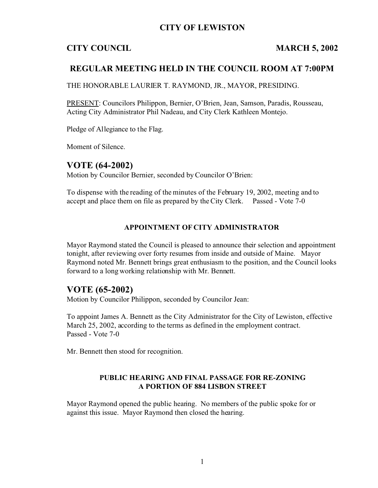## **CITY OF LEWISTON**

# **CITY COUNCIL MARCH 5, 2002**

## **REGULAR MEETING HELD IN THE COUNCIL ROOM AT 7:00PM**

THE HONORABLE LAURIER T. RAYMOND, JR., MAYOR, PRESIDING.

PRESENT: Councilors Philippon, Bernier, O'Brien, Jean, Samson, Paradis, Rousseau, Acting City Administrator Phil Nadeau, and City Clerk Kathleen Montejo.

Pledge of Allegiance to the Flag.

Moment of Silence.

## **VOTE (64-2002)**

Motion by Councilor Bernier, seconded by Councilor O'Brien:

To dispense with the reading of the minutes of the February 19, 2002, meeting and to accept and place them on file as prepared by the City Clerk. Passed - Vote 7-0

#### **APPOINTMENT OF CITY ADMINISTRATOR**

Mayor Raymond stated the Council is pleased to announce their selection and appointment tonight, after reviewing over forty resumes from inside and outside of Maine. Mayor Raymond noted Mr. Bennett brings great enthusiasm to the position, and the Council looks forward to a long working relationship with Mr. Bennett.

## **VOTE (65-2002)**

Motion by Councilor Philippon, seconded by Councilor Jean:

To appoint James A. Bennett as the City Administrator for the City of Lewiston, effective March 25, 2002, according to the terms as defined in the employment contract. Passed - Vote 7-0

Mr. Bennett then stood for recognition.

#### **PUBLIC HEARING AND FINAL PASSAGE FOR RE-ZONING A PORTION OF 884 LISBON STREET**

Mayor Raymond opened the public hearing. No members of the public spoke for or against this issue. Mayor Raymond then closed the hearing.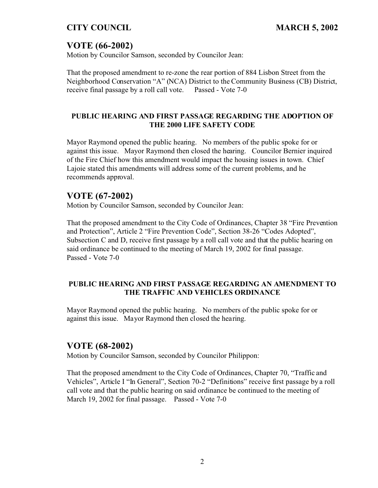# **VOTE (66-2002)**

Motion by Councilor Samson, seconded by Councilor Jean:

That the proposed amendment to re-zone the rear portion of 884 Lisbon Street from the Neighborhood Conservation "A" (NCA) District to the Community Business (CB) District, receive final passage by a roll call vote. Passed - Vote 7-0

## **PUBLIC HEARING AND FIRST PASSAGE REGARDING THE ADOPTION OF THE 2000 LIFE SAFETY CODE**

Mayor Raymond opened the public hearing. No members of the public spoke for or against this issue. Mayor Raymond then closed the hearing. Councilor Bernier inquired of the Fire Chief how this amendment would impact the housing issues in town. Chief Lajoie stated this amendments will address some of the current problems, and he recommends approval.

# **VOTE (67-2002)**

Motion by Councilor Samson, seconded by Councilor Jean:

That the proposed amendment to the City Code of Ordinances, Chapter 38 "Fire Prevention and Protection", Article 2 "Fire Prevention Code", Section 38-26 "Codes Adopted", Subsection C and D, receive first passage by a roll call vote and that the public hearing on said ordinance be continued to the meeting of March 19, 2002 for final passage. Passed - Vote 7-0

#### **PUBLIC HEARING AND FIRST PASSAGE REGARDING AN AMENDMENT TO THE TRAFFIC AND VEHICLES ORDINANCE**

Mayor Raymond opened the public hearing. No members of the public spoke for or against this issue. Mayor Raymond then closed the hearing.

# **VOTE (68-2002)**

Motion by Councilor Samson, seconded by Councilor Philippon:

That the proposed amendment to the City Code of Ordinances, Chapter 70, "Traffic and Vehicles", Article I "In General", Section 70-2 "Definitions" receive first passage by a roll call vote and that the public hearing on said ordinance be continued to the meeting of March 19, 2002 for final passage. Passed - Vote 7-0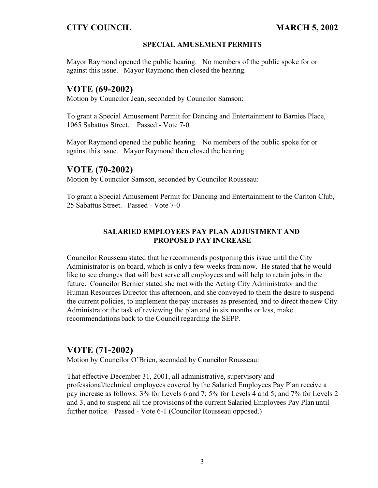#### **SPECIAL AMUSEMENT PERMITS**

Mayor Raymond opened the public hearing. No members of the public spoke for or against this issue. Mayor Raymond then closed the hearing.

# **VOTE (69-2002)**

Motion by Councilor Jean, seconded by Councilor Samson:

To grant a Special Amusement Permit for Dancing and Entertainment to Barnies Place, 1065 Sabattus Street. Passed - Vote 7-0

Mayor Raymond opened the public hearing. No members of the public spoke for or against this issue. Mayor Raymond then closed the hearing.

## **VOTE (70-2002)**

Motion by Councilor Samson, seconded by Councilor Rousseau:

To grant a Special Amusement Permit for Dancing and Entertainment to the Carlton Club, 25 Sabattus Street. Passed - Vote 7-0

## **SALARIED EMPLOYEES PAY PLAN ADJUSTMENT AND PROPOSED PAY INCREASE**

Councilor Rousseau stated that he recommends postponing this issue until the City Administrator is on board, which is only a few weeks from now. He stated that he would like to see changes that will best serve all employees and will help to retain jobs in the future. Councilor Bernier stated she met with the Acting City Administrator and the Human Resources Director this afternoon, and she conveyed to them the desire to suspend the current policies, to implement the pay increases as presented, and to direct the new City Administrator the task of reviewing the plan and in six months or less, make recommendations back to the Council regarding the SEPP.

## **VOTE (71-2002)**

Motion by Councilor O'Brien, seconded by Councilor Rousseau:

That effective December 31, 2001, all administrative, supervisory and professional/technical employees covered by the Salaried Employees Pay Plan receive a pay increase as follows: 3% for Levels 6 and 7; 5% for Levels 4 and 5; and 7% for Levels 2 and 3, and to suspend all the provisions of the current Salaried Employees Pay Plan until further notice. Passed - Vote 6-1 (Councilor Rousseau opposed.)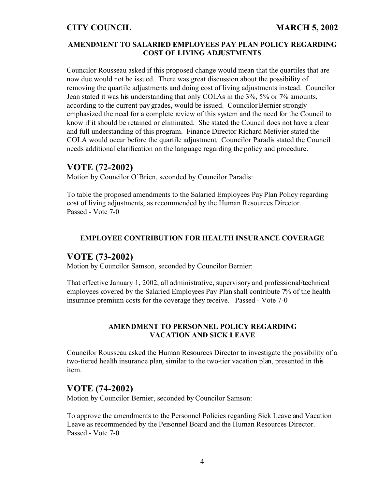#### **AMENDMENT TO SALARIED EMPLOYEES PAY PLAN POLICY REGARDING COST OF LIVING ADJUSTMENTS**

Councilor Rousseau asked if this proposed change would mean that the quartiles that are now due would not be issued. There was great discussion about the possibility of removing the quartile adjustments and doing cost of living adjustments instead. Councilor Jean stated it was his understanding that only COLAs in the 3%, 5% or 7% amounts, according to the current pay grades, would be issued. Councilor Bernier strongly emphasized the need for a complete review of this system and the need for the Council to know if it should be retained or eliminated. She stated the Council does not have a clear and full understanding of this program. Finance Director Richard Metivier stated the COLA would occur before the quartile adjustment. Councilor Paradis stated the Council needs additional clarification on the language regarding the policy and procedure.

## **VOTE (72-2002)**

Motion by Councilor O'Brien, seconded by Councilor Paradis:

To table the proposed amendments to the Salaried Employees Pay Plan Policy regarding cost of living adjustments, as recommended by the Human Resources Director. Passed - Vote 7-0

#### **EMPLOYEE CONTRIBUTION FOR HEALTH INSURANCE COVERAGE**

## **VOTE (73-2002)**

Motion by Councilor Samson, seconded by Councilor Bernier:

That effective January 1, 2002, all administrative, supervisory and professional/technical employees covered by the Salaried Employees Pay Plan shall contribute 7% of the health insurance premium costs for the coverage they receive. Passed - Vote 7-0

## **AMENDMENT TO PERSONNEL POLICY REGARDING VACATION AND SICK LEAVE**

Councilor Rousseau asked the Human Resources Director to investigate the possibility of a two-tiered health insurance plan, similar to the two-tier vacation plan, presented in this item.

## **VOTE (74-2002)**

Motion by Councilor Bernier, seconded by Councilor Samson:

To approve the amendments to the Personnel Policies regarding Sick Leave and Vacation Leave as recommended by the Personnel Board and the Human Resources Director. Passed - Vote 7-0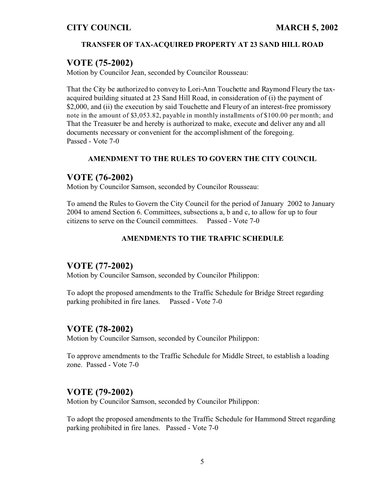## **TRANSFER OF TAX-ACQUIRED PROPERTY AT 23 SAND HILL ROAD**

## **VOTE (75-2002)**

Motion by Councilor Jean, seconded by Councilor Rousseau:

That the City be authorized to convey to Lori-Ann Touchette and Raymond Fleury the taxacquired building situated at 23 Sand Hill Road, in consideration of (i) the payment of \$2,000, and (ii) the execution by said Touchette and Fleury of an interest-free promissory note in the amount of \$3,053.82, payable in monthly installments of \$100.00 per month; and That the Treasurer be and hereby is authorized to make, execute and deliver any and all documents necessary or convenient for the accomplishment of the foregoing. Passed - Vote 7-0

## **AMENDMENT TO THE RULES TO GOVERN THE CITY COUNCIL**

## **VOTE (76-2002)**

Motion by Councilor Samson, seconded by Councilor Rousseau:

To amend the Rules to Govern the City Council for the period of January 2002 to January 2004 to amend Section 6. Committees, subsections a, b and c, to allow for up to four citizens to serve on the Council committees. Passed - Vote 7-0

## **AMENDMENTS TO THE TRAFFIC SCHEDULE**

## **VOTE (77-2002)**

Motion by Councilor Samson, seconded by Councilor Philippon:

To adopt the proposed amendments to the Traffic Schedule for Bridge Street regarding parking prohibited in fire lanes. Passed - Vote 7-0

## **VOTE (78-2002)**

Motion by Councilor Samson, seconded by Councilor Philippon:

To approve amendments to the Traffic Schedule for Middle Street, to establish a loading zone. Passed - Vote 7-0

## **VOTE (79-2002)**

Motion by Councilor Samson, seconded by Councilor Philippon:

To adopt the proposed amendments to the Traffic Schedule for Hammond Street regarding parking prohibited in fire lanes. Passed - Vote 7-0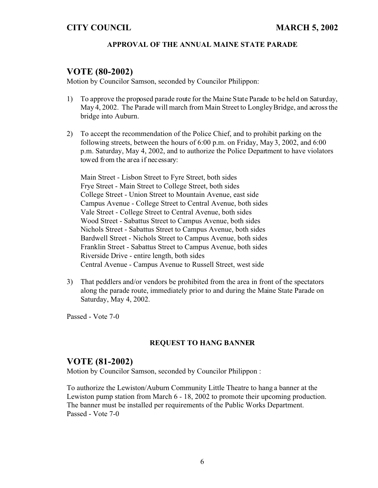#### **APPROVAL OF THE ANNUAL MAINE STATE PARADE**

## **VOTE (80-2002)**

Motion by Councilor Samson, seconded by Councilor Philippon:

- 1) To approve the proposed parade route for the Maine State Parade to be held on Saturday, May 4, 2002. The Parade will march from Main Street to Longley Bridge, and across the bridge into Auburn.
- 2) To accept the recommendation of the Police Chief, and to prohibit parking on the following streets, between the hours of 6:00 p.m. on Friday, May 3, 2002, and 6:00 p.m. Saturday, May 4, 2002, and to authorize the Police Department to have violators towed from the area if necessary:

Main Street - Lisbon Street to Fyre Street, both sides Frye Street - Main Street to College Street, both sides College Street - Union Street to Mountain Avenue, east side Campus Avenue - College Street to Central Avenue, both sides Vale Street - College Street to Central Avenue, both sides Wood Street - Sabattus Street to Campus Avenue, both sides Nichols Street - Sabattus Street to Campus Avenue, both sides Bardwell Street - Nichols Street to Campus Avenue, both sides Franklin Street - Sabattus Street to Campus Avenue, both sides Riverside Drive - entire length, both sides Central Avenue - Campus Avenue to Russell Street, west side

3) That peddlers and/or vendors be prohibited from the area in front of the spectators along the parade route, immediately prior to and during the Maine State Parade on Saturday, May 4, 2002.

Passed - Vote 7-0

#### **REQUEST TO HANG BANNER**

## **VOTE (81-2002)**

Motion by Councilor Samson, seconded by Councilor Philippon :

To authorize the Lewiston/Auburn Community Little Theatre to hang a banner at the Lewiston pump station from March 6 - 18, 2002 to promote their upcoming production. The banner must be installed per requirements of the Public Works Department. Passed - Vote 7-0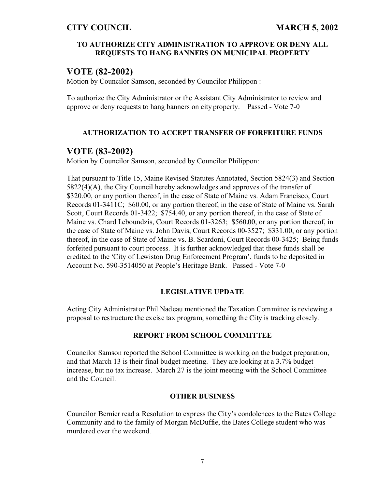#### **TO AUTHORIZE CITY ADMINISTRATION TO APPROVE OR DENY ALL REQUESTS TO HANG BANNERS ON MUNICIPAL PROPERTY**

# **VOTE (82-2002)**

Motion by Councilor Samson, seconded by Councilor Philippon :

To authorize the City Administrator or the Assistant City Administrator to review and approve or deny requests to hang banners on city property. Passed - Vote 7-0

## **AUTHORIZATION TO ACCEPT TRANSFER OF FORFEITURE FUNDS**

## **VOTE (83-2002)**

Motion by Councilor Samson, seconded by Councilor Philippon:

That pursuant to Title 15, Maine Revised Statutes Annotated, Section 5824(3) and Section 5822(4)(A), the City Council hereby acknowledges and approves of the transfer of \$320.00, or any portion thereof, in the case of State of Maine vs. Adam Francisco, Court Records 01-3411C; \$60.00, or any portion thereof, in the case of State of Maine vs. Sarah Scott, Court Records 01-3422; \$754.40, or any portion thereof, in the case of State of Maine vs. Chard Leboundzis, Court Records 01-3263; \$560.00, or any portion thereof, in the case of State of Maine vs. John Davis, Court Records 00-3527; \$331.00, or any portion thereof, in the case of State of Maine vs. B. Scardoni, Court Records 00-3425; Being funds forfeited pursuant to court process. It is further acknowledged that these funds shall be credited to the 'City of Lewiston Drug Enforcement Program', funds to be deposited in Account No. 590-3514050 at People's Heritage Bank. Passed - Vote 7-0

#### **LEGISLATIVE UPDATE**

Acting City Administrator Phil Nadeau mentioned the Taxation Committee is reviewing a proposal to restructure the excise tax program, something the City is tracking closely.

#### **REPORT FROM SCHOOL COMMITTEE**

Councilor Samson reported the School Committee is working on the budget preparation, and that March 13 is their final budget meeting. They are looking at a 3.7% budget increase, but no tax increase. March 27 is the joint meeting with the School Committee and the Council.

#### **OTHER BUSINESS**

Councilor Bernier read a Resolution to express the City's condolences to the Bates College Community and to the family of Morgan McDuffie, the Bates College student who was murdered over the weekend.